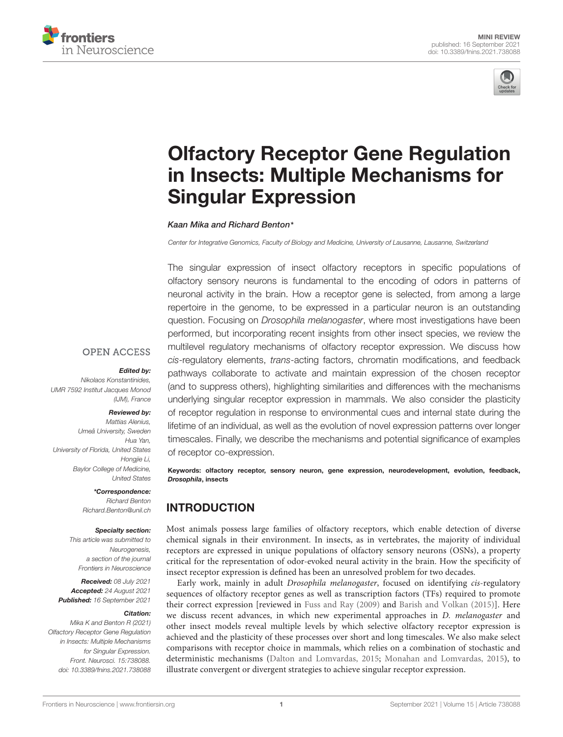



# [Olfactory Receptor Gene Regulation](https://www.frontiersin.org/articles/10.3389/fnins.2021.738088/full) in Insects: Multiple Mechanisms for Singular Expression

### Kaan Mika and Richard Benton\*

Center for Integrative Genomics, Faculty of Biology and Medicine, University of Lausanne, Lausanne, Switzerland

The singular expression of insect olfactory receptors in specific populations of olfactory sensory neurons is fundamental to the encoding of odors in patterns of neuronal activity in the brain. How a receptor gene is selected, from among a large repertoire in the genome, to be expressed in a particular neuron is an outstanding question. Focusing on Drosophila melanogaster, where most investigations have been performed, but incorporating recent insights from other insect species, we review the multilevel regulatory mechanisms of olfactory receptor expression. We discuss how cis-regulatory elements, trans-acting factors, chromatin modifications, and feedback pathways collaborate to activate and maintain expression of the chosen receptor (and to suppress others), highlighting similarities and differences with the mechanisms underlying singular receptor expression in mammals. We also consider the plasticity of receptor regulation in response to environmental cues and internal state during the lifetime of an individual, as well as the evolution of novel expression patterns over longer timescales. Finally, we describe the mechanisms and potential significance of examples of receptor co-expression.

Keywords: olfactory receptor, sensory neuron, gene expression, neurodevelopment, evolution, feedback, Drosophila, insects

## INTRODUCTION

Most animals possess large families of olfactory receptors, which enable detection of diverse chemical signals in their environment. In insects, as in vertebrates, the majority of individual receptors are expressed in unique populations of olfactory sensory neurons (OSNs), a property critical for the representation of odor-evoked neural activity in the brain. How the specificity of insect receptor expression is defined has been an unresolved problem for two decades.

Early work, mainly in adult Drosophila melanogaster, focused on identifying cis-regulatory sequences of olfactory receptor genes as well as transcription factors (TFs) required to promote their correct expression [reviewed in [Fuss and Ray](#page-7-0) [\(2009\)](#page-7-0) and [Barish and Volkan](#page-6-0) [\(2015\)](#page-6-0)]. Here we discuss recent advances, in which new experimental approaches in *D. melanogaster* and other insect models reveal multiple levels by which selective olfactory receptor expression is achieved and the plasticity of these processes over short and long timescales. We also make select comparisons with receptor choice in mammals, which relies on a combination of stochastic and deterministic mechanisms [\(Dalton and Lomvardas,](#page-7-1) [2015;](#page-7-1) [Monahan and Lomvardas,](#page-8-0) [2015\)](#page-8-0), to illustrate convergent or divergent strategies to achieve singular receptor expression.

### **OPEN ACCESS**

### Edited by:

Nikolaos Konstantinides, UMR 7592 Institut Jacques Monod (IJM), France

#### Reviewed by:

Mattias Alenius, Umeå University, Sweden Hua Yan, University of Florida, United States Hongjie Li, Baylor College of Medicine, United States

### \*Correspondence:

Richard Benton [Richard.Benton@unil.ch](mailto:Richard.Benton@unil.ch)

### Specialty section:

This article was submitted to Neurogenesis, a section of the journal Frontiers in Neuroscience

Received: 08 July 2021 Accepted: 24 August 2021 Published: 16 September 2021

#### Citation:

Mika K and Benton R (2021) Olfactory Receptor Gene Regulation in Insects: Multiple Mechanisms for Singular Expression. Front. Neurosci. 15:738088. doi: [10.3389/fnins.2021.738088](https://doi.org/10.3389/fnins.2021.738088)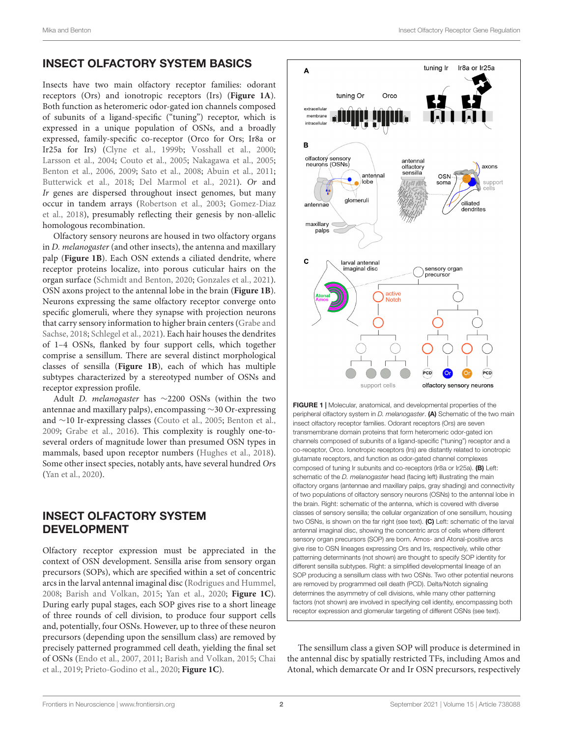## INSECT OLFACTORY SYSTEM BASICS

Insects have two main olfactory receptor families: odorant receptors (Ors) and ionotropic receptors (Irs) (**[Figure 1A](#page-1-0)**). Both function as heteromeric odor-gated ion channels composed of subunits of a ligand-specific ("tuning") receptor, which is expressed in a unique population of OSNs, and a broadly expressed, family-specific co-receptor (Orco for Ors; Ir8a or Ir25a for Irs) [\(Clyne et al.,](#page-7-2) [1999b;](#page-7-2) [Vosshall et al.,](#page-8-1) [2000;](#page-8-1) [Larsson et al.,](#page-7-3) [2004;](#page-7-3) [Couto et al.,](#page-7-4) [2005;](#page-7-4) [Nakagawa et al.,](#page-8-2) [2005;](#page-8-2) [Benton et al.,](#page-7-5) [2006,](#page-7-5) [2009;](#page-7-6) [Sato et al.,](#page-8-3) [2008;](#page-8-3) [Abuin et al.,](#page-6-1) [2011;](#page-6-1) [Butterwick et al.,](#page-7-7) [2018;](#page-7-7) [Del Marmol et al.,](#page-7-8) [2021\)](#page-7-8). Or and Ir genes are dispersed throughout insect genomes, but many occur in tandem arrays [\(Robertson et al.,](#page-8-4) [2003;](#page-8-4) [Gomez-Diaz](#page-7-9) [et al.,](#page-7-9) [2018\)](#page-7-9), presumably reflecting their genesis by non-allelic homologous recombination.

Olfactory sensory neurons are housed in two olfactory organs in D. melanogaster (and other insects), the antenna and maxillary palp (**[Figure 1B](#page-1-0)**). Each OSN extends a ciliated dendrite, where receptor proteins localize, into porous cuticular hairs on the organ surface [\(Schmidt and Benton,](#page-8-5) [2020;](#page-8-5) [Gonzales et al.,](#page-7-10) [2021\)](#page-7-10). OSN axons project to the antennal lobe in the brain (**[Figure 1B](#page-1-0)**). Neurons expressing the same olfactory receptor converge onto specific glomeruli, where they synapse with projection neurons that carry sensory information to higher brain centers [\(Grabe and](#page-7-11) [Sachse,](#page-7-11) [2018;](#page-7-11) [Schlegel et al.,](#page-8-6) [2021\)](#page-8-6). Each hair houses the dendrites of 1–4 OSNs, flanked by four support cells, which together comprise a sensillum. There are several distinct morphological classes of sensilla (**[Figure 1B](#page-1-0)**), each of which has multiple subtypes characterized by a stereotyped number of OSNs and receptor expression profile.

Adult D. melanogaster has ∼2200 OSNs (within the two antennae and maxillary palps), encompassing ∼30 Or-expressing and ∼10 Ir-expressing classes [\(Couto et al.,](#page-7-4) [2005;](#page-7-4) [Benton et al.,](#page-7-6) [2009;](#page-7-6) [Grabe et al.,](#page-7-12) [2016\)](#page-7-12). This complexity is roughly one-toseveral orders of magnitude lower than presumed OSN types in mammals, based upon receptor numbers [\(Hughes et al.,](#page-7-13) [2018\)](#page-7-13). Some other insect species, notably ants, have several hundred Ors [\(Yan et al.,](#page-8-7) [2020\)](#page-8-7).

## INSECT OLFACTORY SYSTEM DEVELOPMENT

Olfactory receptor expression must be appreciated in the context of OSN development. Sensilla arise from sensory organ precursors (SOPs), which are specified within a set of concentric arcs in the larval antennal imaginal disc [\(Rodrigues and Hummel,](#page-8-8) [2008;](#page-8-8) [Barish and Volkan,](#page-6-0) [2015;](#page-6-0) [Yan et al.,](#page-8-7) [2020;](#page-8-7) **[Figure 1C](#page-1-0)**). During early pupal stages, each SOP gives rise to a short lineage of three rounds of cell division, to produce four support cells and, potentially, four OSNs. However, up to three of these neuron precursors (depending upon the sensillum class) are removed by precisely patterned programmed cell death, yielding the final set of OSNs [\(Endo et al.,](#page-7-14) [2007,](#page-7-14) [2011;](#page-7-15) [Barish and Volkan,](#page-6-0) [2015;](#page-6-0) [Chai](#page-7-16) [et al.,](#page-7-16) [2019;](#page-7-16) [Prieto-Godino et al.,](#page-8-9) [2020;](#page-8-9) **[Figure 1C](#page-1-0)**).



<span id="page-1-0"></span>FIGURE 1 | Molecular, anatomical, and developmental properties of the peripheral olfactory system in D. melanogaster. (A) Schematic of the two main insect olfactory receptor families. Odorant receptors (Ors) are seven transmembrane domain proteins that form heteromeric odor-gated ion channels composed of subunits of a ligand-specific ("tuning") receptor and a co-receptor, Orco. Ionotropic receptors (Irs) are distantly related to ionotropic glutamate receptors, and function as odor-gated channel complexes composed of tuning Ir subunits and co-receptors (Ir8a or Ir25a). (B) Left: schematic of the D. melanogaster head (facing left) illustrating the main olfactory organs (antennae and maxillary palps, gray shading) and connectivity of two populations of olfactory sensory neurons (OSNs) to the antennal lobe in the brain. Right: schematic of the antenna, which is covered with diverse classes of sensory sensilla; the cellular organization of one sensillum, housing two OSNs, is shown on the far right (see text). (C) Left: schematic of the larval antennal imaginal disc, showing the concentric arcs of cells where different sensory organ precursors (SOP) are born. Amos- and Atonal-positive arcs give rise to OSN lineages expressing Ors and Irs, respectively, while other patterning determinants (not shown) are thought to specify SOP identity for different sensilla subtypes. Right: a simplified developmental lineage of an SOP producing a sensillum class with two OSNs. Two other potential neurons are removed by programmed cell death (PCD). Delta/Notch signaling determines the asymmetry of cell divisions, while many other patterning factors (not shown) are involved in specifying cell identity, encompassing both receptor expression and glomerular targeting of different OSNs (see text).

The sensillum class a given SOP will produce is determined in the antennal disc by spatially restricted TFs, including Amos and Atonal, which demarcate Or and Ir OSN precursors, respectively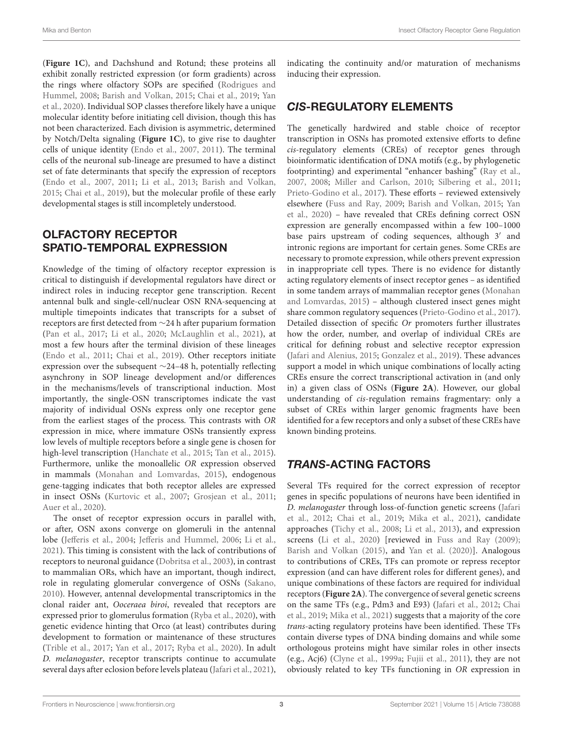(**[Figure 1C](#page-1-0)**), and Dachshund and Rotund; these proteins all exhibit zonally restricted expression (or form gradients) across the rings where olfactory SOPs are specified [\(Rodrigues and](#page-8-8) [Hummel,](#page-8-8) [2008;](#page-8-8) [Barish and Volkan,](#page-6-0) [2015;](#page-6-0) [Chai et al.,](#page-7-16) [2019;](#page-7-16) [Yan](#page-8-7) [et al.,](#page-8-7) [2020\)](#page-8-7). Individual SOP classes therefore likely have a unique molecular identity before initiating cell division, though this has not been characterized. Each division is asymmetric, determined by Notch/Delta signaling (**[Figure 1C](#page-1-0)**), to give rise to daughter cells of unique identity [\(Endo et al.,](#page-7-14) [2007,](#page-7-14) [2011\)](#page-7-15). The terminal cells of the neuronal sub-lineage are presumed to have a distinct set of fate determinants that specify the expression of receptors [\(Endo et al.,](#page-7-14) [2007,](#page-7-14) [2011;](#page-7-15) [Li et al.,](#page-8-10) [2013;](#page-8-10) [Barish and Volkan,](#page-6-0) [2015;](#page-6-0) [Chai et al.,](#page-7-16) [2019\)](#page-7-16), but the molecular profile of these early developmental stages is still incompletely understood.

## OLFACTORY RECEPTOR SPATIO-TEMPORAL EXPRESSION

Knowledge of the timing of olfactory receptor expression is critical to distinguish if developmental regulators have direct or indirect roles in inducing receptor gene transcription. Recent antennal bulk and single-cell/nuclear OSN RNA-sequencing at multiple timepoints indicates that transcripts for a subset of receptors are first detected from ∼24 h after puparium formation [\(Pan et al.,](#page-8-11) [2017;](#page-8-11) [Li et al.,](#page-8-12) [2020;](#page-8-12) [McLaughlin et al.,](#page-8-13) [2021\)](#page-8-13), at most a few hours after the terminal division of these lineages [\(Endo et al.,](#page-7-15) [2011;](#page-7-15) [Chai et al.,](#page-7-16) [2019\)](#page-7-16). Other receptors initiate expression over the subsequent ∼24–48 h, potentially reflecting asynchrony in SOP lineage development and/or differences in the mechanisms/levels of transcriptional induction. Most importantly, the single-OSN transcriptomes indicate the vast majority of individual OSNs express only one receptor gene from the earliest stages of the process. This contrasts with OR expression in mice, where immature OSNs transiently express low levels of multiple receptors before a single gene is chosen for high-level transcription [\(Hanchate et al.,](#page-7-17) [2015;](#page-7-17) [Tan et al.,](#page-8-14) [2015\)](#page-8-14). Furthermore, unlike the monoallelic OR expression observed in mammals [\(Monahan and Lomvardas,](#page-8-0) [2015\)](#page-8-0), endogenous gene-tagging indicates that both receptor alleles are expressed in insect OSNs [\(Kurtovic et al.,](#page-7-18) [2007;](#page-7-18) [Grosjean et al.,](#page-7-19) [2011;](#page-7-19) [Auer et al.,](#page-6-2) [2020\)](#page-6-2).

The onset of receptor expression occurs in parallel with, or after, OSN axons converge on glomeruli in the antennal lobe [\(Jefferis et al.,](#page-7-20) [2004;](#page-7-20) [Jefferis and Hummel,](#page-7-21) [2006;](#page-7-21) [Li et al.,](#page-8-15) [2021\)](#page-8-15). This timing is consistent with the lack of contributions of receptors to neuronal guidance [\(Dobritsa et al.,](#page-7-22) [2003\)](#page-7-22), in contrast to mammalian ORs, which have an important, though indirect, role in regulating glomerular convergence of OSNs [\(Sakano,](#page-8-16) [2010\)](#page-8-16). However, antennal developmental transcriptomics in the clonal raider ant, Ooceraea biroi, revealed that receptors are expressed prior to glomerulus formation [\(Ryba et al.,](#page-8-17) [2020\)](#page-8-17), with genetic evidence hinting that Orco (at least) contributes during development to formation or maintenance of these structures [\(Trible et al.,](#page-8-18) [2017;](#page-8-18) [Yan et al.,](#page-9-0) [2017;](#page-9-0) [Ryba et al.,](#page-8-17) [2020\)](#page-8-17). In adult D. melanogaster, receptor transcripts continue to accumulate several days after eclosion before levels plateau [\(Jafari et al.,](#page-7-23) [2021\)](#page-7-23),

indicating the continuity and/or maturation of mechanisms inducing their expression.

## CIS-REGULATORY ELEMENTS

The genetically hardwired and stable choice of receptor transcription in OSNs has promoted extensive efforts to define cis-regulatory elements (CREs) of receptor genes through bioinformatic identification of DNA motifs (e.g., by phylogenetic footprinting) and experimental "enhancer bashing" [\(Ray et al.,](#page-8-19) [2007,](#page-8-19) [2008;](#page-8-20) [Miller and Carlson,](#page-8-21) [2010;](#page-8-21) [Silbering et al.,](#page-8-22) [2011;](#page-8-22) [Prieto-Godino et al.,](#page-8-23) [2017\)](#page-8-23). These efforts – reviewed extensively elsewhere [\(Fuss and Ray,](#page-7-0) [2009;](#page-7-0) [Barish and Volkan,](#page-6-0) [2015;](#page-6-0) [Yan](#page-8-7) [et al.,](#page-8-7) [2020\)](#page-8-7) – have revealed that CREs defining correct OSN expression are generally encompassed within a few 100–1000 base pairs upstream of coding sequences, although 3' and intronic regions are important for certain genes. Some CREs are necessary to promote expression, while others prevent expression in inappropriate cell types. There is no evidence for distantly acting regulatory elements of insect receptor genes – as identified in some tandem arrays of mammalian receptor genes [\(Monahan](#page-8-0) [and Lomvardas,](#page-8-0) [2015\)](#page-8-0) – although clustered insect genes might share common regulatory sequences [\(Prieto-Godino et al.,](#page-8-23) [2017\)](#page-8-23). Detailed dissection of specific Or promoters further illustrates how the order, number, and overlap of individual CREs are critical for defining robust and selective receptor expression [\(Jafari and Alenius,](#page-7-24) [2015;](#page-7-24) [Gonzalez et al.,](#page-7-25) [2019\)](#page-7-25). These advances support a model in which unique combinations of locally acting CREs ensure the correct transcriptional activation in (and only in) a given class of OSNs (**[Figure 2A](#page-3-0)**). However, our global understanding of cis-regulation remains fragmentary: only a subset of CREs within larger genomic fragments have been identified for a few receptors and only a subset of these CREs have known binding proteins.

## TRANS-ACTING FACTORS

Several TFs required for the correct expression of receptor genes in specific populations of neurons have been identified in D. melanogaster through loss-of-function genetic screens [\(Jafari](#page-7-26) [et al.,](#page-7-26) [2012;](#page-7-26) [Chai et al.,](#page-7-16) [2019;](#page-7-16) [Mika et al.,](#page-8-24) [2021\)](#page-8-24), candidate approaches [\(Tichy et al.,](#page-8-25) [2008;](#page-8-25) [Li et al.,](#page-8-10) [2013\)](#page-8-10), and expression screens [\(Li et al.,](#page-8-12) [2020\)](#page-8-12) [reviewed in [Fuss and Ray](#page-7-0) [\(2009\)](#page-7-0); [Barish and Volkan](#page-6-0) [\(2015\)](#page-6-0), and [Yan et al.](#page-8-7) [\(2020\)](#page-8-7)]. Analogous to contributions of CREs, TFs can promote or repress receptor expression (and can have different roles for different genes), and unique combinations of these factors are required for individual receptors (**[Figure 2A](#page-3-0)**). The convergence of several genetic screens on the same TFs (e.g., Pdm3 and E93) [\(Jafari et al.,](#page-7-26) [2012;](#page-7-26) [Chai](#page-7-16) [et al.,](#page-7-16) [2019;](#page-7-16) [Mika et al.,](#page-8-24) [2021\)](#page-8-24) suggests that a majority of the core trans-acting regulatory proteins have been identified. These TFs contain diverse types of DNA binding domains and while some orthologous proteins might have similar roles in other insects (e.g., Acj6) [\(Clyne et al.,](#page-7-27) [1999a;](#page-7-27) [Fujii et al.,](#page-7-28) [2011\)](#page-7-28), they are not obviously related to key TFs functioning in OR expression in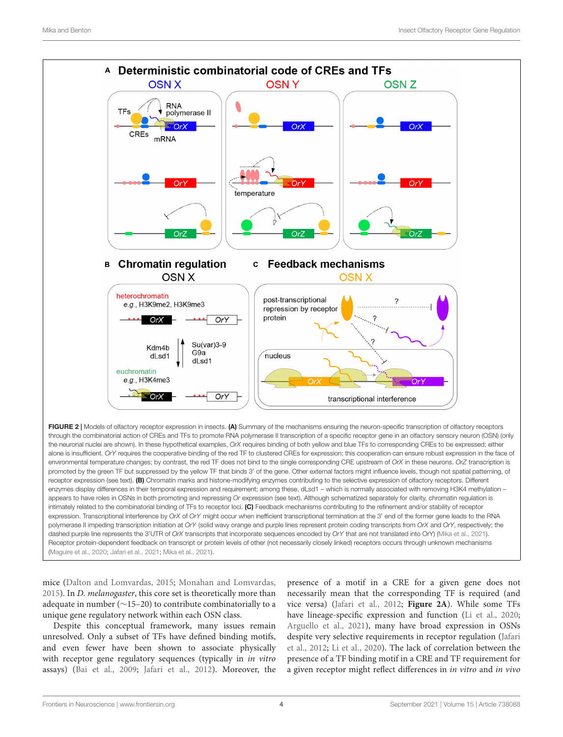

<span id="page-3-0"></span>promoted by the green TF but suppressed by the yellow TF that binds 3' of the gene. Other external factors might influence levels, though not spatial patterning, of receptor expression (see text). (B) Chromatin marks and histone-modifying enzymes contributing to the selective expression of olfactory receptors. Different enzymes display differences in their temporal expression and requirement; among these, dLsd1 - which is normally associated with removing H3K4 methylation appears to have roles in OSNs in both promoting and repressing Or expression (see text). Although schematized separately for clarity, chromatin regulation is intimately related to the combinatorial binding of TFs to receptor loci. (C) Feedback mechanisms contributing to the refinement and/or stability of receptor expression. Transcriptional interference by OrX of OrY might occur when inefficient transcriptional termination at the 3' end of the former gene leads to the RNA polymerase II impeding transcription initiation at OrY (solid wavy orange and purple lines represent protein coding transcripts from OrX and OrY, respectively; the dashed purple line represents the 3'UTR of OrX transcripts that incorporate sequences encoded by OrY that are not translated into OrY) [\(Mika et al.,](#page-8-24) [2021\)](#page-8-24). Receptor protein-dependent feedback on transcript or protein levels of other (not necessarily closely linked) receptors occurs through unknown mechanisms [\(Maguire et al.,](#page-8-26) [2020;](#page-8-26) [Jafari et al.,](#page-7-23) [2021;](#page-7-23) [Mika et al.,](#page-8-24) [2021\)](#page-8-24).

mice [\(Dalton and Lomvardas,](#page-7-1) [2015;](#page-7-1) [Monahan and Lomvardas,](#page-8-0) [2015\)](#page-8-0). In D. melanogaster, this core set is theoretically more than adequate in number (∼15–20) to contribute combinatorially to a unique gene regulatory network within each OSN class.

Despite this conceptual framework, many issues remain unresolved. Only a subset of TFs have defined binding motifs, and even fewer have been shown to associate physically with receptor gene regulatory sequences (typically in *in vitro* assays) [\(Bai et al.,](#page-6-3) [2009;](#page-6-3) [Jafari et al.,](#page-7-26) [2012\)](#page-7-26). Moreover, the presence of a motif in a CRE for a given gene does not necessarily mean that the corresponding TF is required (and vice versa) [\(Jafari et al.,](#page-7-26) [2012;](#page-7-26) **[Figure 2A](#page-3-0)**). While some TFs have lineage-specific expression and function [\(Li et al.,](#page-8-12) [2020;](#page-8-12) [Arguello et al.,](#page-6-4) [2021\)](#page-6-4), many have broad expression in OSNs despite very selective requirements in receptor regulation [\(Jafari](#page-7-26) [et al.,](#page-7-26) [2012;](#page-7-26) [Li et al.,](#page-8-12) [2020\)](#page-8-12). The lack of correlation between the presence of a TF binding motif in a CRE and TF requirement for a given receptor might reflect differences in in vitro and in vivo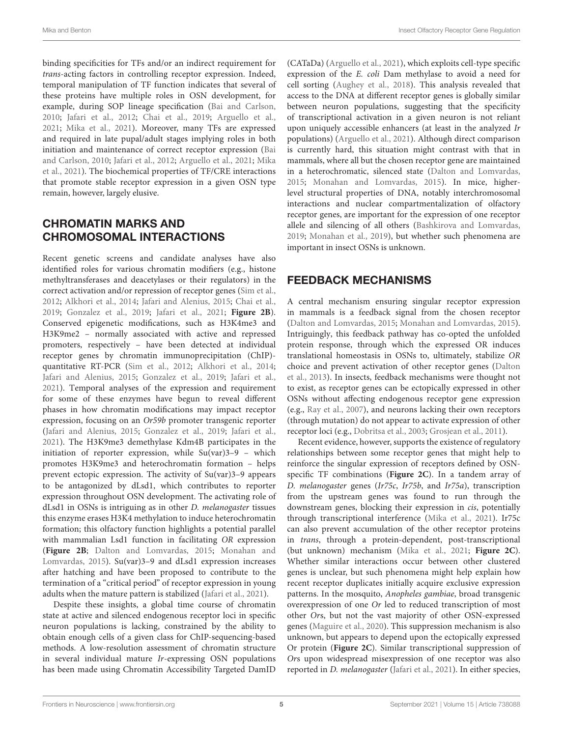binding specificities for TFs and/or an indirect requirement for trans-acting factors in controlling receptor expression. Indeed, temporal manipulation of TF function indicates that several of these proteins have multiple roles in OSN development, for example, during SOP lineage specification [\(Bai and Carlson,](#page-6-5) [2010;](#page-6-5) [Jafari et al.,](#page-7-26) [2012;](#page-7-26) [Chai et al.,](#page-7-16) [2019;](#page-7-16) [Arguello et al.,](#page-6-4) [2021;](#page-6-4) [Mika et al.,](#page-8-24) [2021\)](#page-8-24). Moreover, many TFs are expressed and required in late pupal/adult stages implying roles in both initiation and maintenance of correct receptor expression [\(Bai](#page-6-5) [and Carlson,](#page-6-5) [2010;](#page-6-5) [Jafari et al.,](#page-7-26) [2012;](#page-7-26) [Arguello et al.,](#page-6-4) [2021;](#page-6-4) [Mika](#page-8-24) [et al.,](#page-8-24) [2021\)](#page-8-24). The biochemical properties of TF/CRE interactions that promote stable receptor expression in a given OSN type remain, however, largely elusive.

## CHROMATIN MARKS AND CHROMOSOMAL INTERACTIONS

Recent genetic screens and candidate analyses have also identified roles for various chromatin modifiers (e.g., histone methyltransferases and deacetylases or their regulators) in the correct activation and/or repression of receptor genes [\(Sim et al.,](#page-8-27) [2012;](#page-8-27) [Alkhori et al.,](#page-6-6) [2014;](#page-6-6) [Jafari and Alenius,](#page-7-24) [2015;](#page-7-24) [Chai et al.,](#page-7-16) [2019;](#page-7-16) [Gonzalez et al.,](#page-7-25) [2019;](#page-7-25) [Jafari et al.,](#page-7-23) [2021;](#page-7-23) **[Figure 2B](#page-3-0)**). Conserved epigenetic modifications, such as H3K4me3 and H3K9me2 – normally associated with active and repressed promoters, respectively – have been detected at individual receptor genes by chromatin immunoprecipitation (ChIP) quantitative RT-PCR [\(Sim et al.,](#page-8-27) [2012;](#page-8-27) [Alkhori et al.,](#page-6-6) [2014;](#page-6-6) [Jafari and Alenius,](#page-7-24) [2015;](#page-7-24) [Gonzalez et al.,](#page-7-25) [2019;](#page-7-25) [Jafari et al.,](#page-7-23) [2021\)](#page-7-23). Temporal analyses of the expression and requirement for some of these enzymes have begun to reveal different phases in how chromatin modifications may impact receptor expression, focusing on an Or59b promoter transgenic reporter [\(Jafari and Alenius,](#page-7-24) [2015;](#page-7-24) [Gonzalez et al.,](#page-7-25) [2019;](#page-7-25) [Jafari et al.,](#page-7-23) [2021\)](#page-7-23). The H3K9me3 demethylase Kdm4B participates in the initiation of reporter expression, while Su(var)3–9 – which promotes H3K9me3 and heterochromatin formation – helps prevent ectopic expression. The activity of Su(var)3–9 appears to be antagonized by dLsd1, which contributes to reporter expression throughout OSN development. The activating role of dLsd1 in OSNs is intriguing as in other D. melanogaster tissues this enzyme erases H3K4 methylation to induce heterochromatin formation; this olfactory function highlights a potential parallel with mammalian Lsd1 function in facilitating OR expression (**[Figure 2B](#page-3-0)**; [Dalton and Lomvardas,](#page-7-1) [2015;](#page-7-1) [Monahan and](#page-8-0) [Lomvardas,](#page-8-0) [2015\)](#page-8-0). Su(var)3–9 and dLsd1 expression increases after hatching and have been proposed to contribute to the termination of a "critical period" of receptor expression in young adults when the mature pattern is stabilized [\(Jafari et al.,](#page-7-23) [2021\)](#page-7-23).

Despite these insights, a global time course of chromatin state at active and silenced endogenous receptor loci in specific neuron populations is lacking, constrained by the ability to obtain enough cells of a given class for ChIP-sequencing-based methods. A low-resolution assessment of chromatin structure in several individual mature Ir-expressing OSN populations has been made using Chromatin Accessibility Targeted DamID

(CATaDa) [\(Arguello et al.,](#page-6-4) [2021\)](#page-6-4), which exploits cell-type specific expression of the E. coli Dam methylase to avoid a need for cell sorting [\(Aughey et al.,](#page-6-7) [2018\)](#page-6-7). This analysis revealed that access to the DNA at different receptor genes is globally similar between neuron populations, suggesting that the specificity of transcriptional activation in a given neuron is not reliant upon uniquely accessible enhancers (at least in the analyzed Ir populations) [\(Arguello et al.,](#page-6-4) [2021\)](#page-6-4). Although direct comparison is currently hard, this situation might contrast with that in mammals, where all but the chosen receptor gene are maintained in a heterochromatic, silenced state [\(Dalton and Lomvardas,](#page-7-1) [2015;](#page-7-1) [Monahan and Lomvardas,](#page-8-0) [2015\)](#page-8-0). In mice, higherlevel structural properties of DNA, notably interchromosomal interactions and nuclear compartmentalization of olfactory receptor genes, are important for the expression of one receptor allele and silencing of all others [\(Bashkirova and Lomvardas,](#page-7-29) [2019;](#page-7-29) [Monahan et al.,](#page-8-28) [2019\)](#page-8-28), but whether such phenomena are important in insect OSNs is unknown.

## FEEDBACK MECHANISMS

A central mechanism ensuring singular receptor expression in mammals is a feedback signal from the chosen receptor [\(Dalton and Lomvardas,](#page-7-1) [2015;](#page-7-1) [Monahan and Lomvardas,](#page-8-0) [2015\)](#page-8-0). Intriguingly, this feedback pathway has co-opted the unfolded protein response, through which the expressed OR induces translational homeostasis in OSNs to, ultimately, stabilize OR choice and prevent activation of other receptor genes [\(Dalton](#page-7-30) [et al.,](#page-7-30) [2013\)](#page-7-30). In insects, feedback mechanisms were thought not to exist, as receptor genes can be ectopically expressed in other OSNs without affecting endogenous receptor gene expression (e.g., [Ray et al.,](#page-8-19) [2007\)](#page-8-19), and neurons lacking their own receptors (through mutation) do not appear to activate expression of other receptor loci (e.g., [Dobritsa et al.,](#page-7-22) [2003;](#page-7-22) [Grosjean et al.,](#page-7-19) [2011\)](#page-7-19).

Recent evidence, however, supports the existence of regulatory relationships between some receptor genes that might help to reinforce the singular expression of receptors defined by OSNspecific TF combinations (**[Figure 2C](#page-3-0)**). In a tandem array of D. melanogaster genes (Ir75c, Ir75b, and Ir75a), transcription from the upstream genes was found to run through the downstream genes, blocking their expression in cis, potentially through transcriptional interference [\(Mika et al.,](#page-8-24) [2021\)](#page-8-24). Ir75c can also prevent accumulation of the other receptor proteins in trans, through a protein-dependent, post-transcriptional (but unknown) mechanism [\(Mika et al.,](#page-8-24) [2021;](#page-8-24) **[Figure 2C](#page-3-0)**). Whether similar interactions occur between other clustered genes is unclear, but such phenomena might help explain how recent receptor duplicates initially acquire exclusive expression patterns. In the mosquito, Anopheles gambiae, broad transgenic overexpression of one Or led to reduced transcription of most other Ors, but not the vast majority of other OSN-expressed genes [\(Maguire et al.,](#page-8-26) [2020\)](#page-8-26). This suppression mechanism is also unknown, but appears to depend upon the ectopically expressed Or protein (**[Figure 2C](#page-3-0)**). Similar transcriptional suppression of Ors upon widespread misexpression of one receptor was also reported in D. melanogaster [\(Jafari et al.,](#page-7-23) [2021\)](#page-7-23). In either species,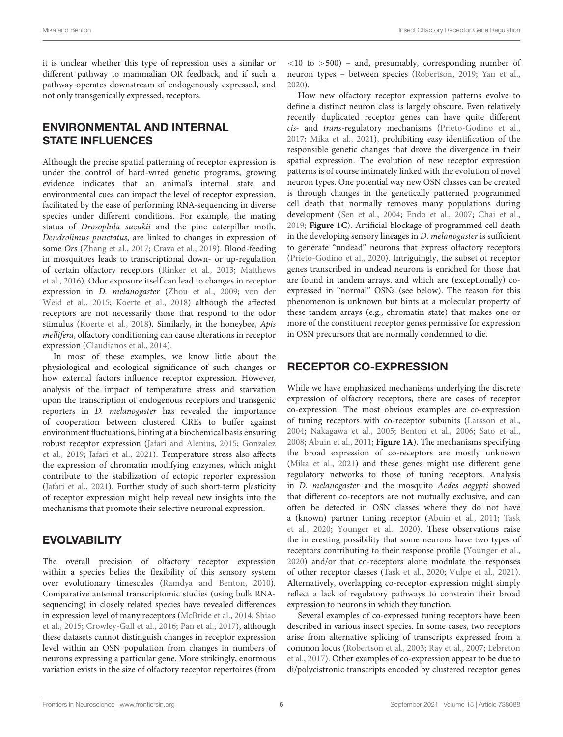it is unclear whether this type of repression uses a similar or different pathway to mammalian OR feedback, and if such a pathway operates downstream of endogenously expressed, and not only transgenically expressed, receptors.

## ENVIRONMENTAL AND INTERNAL STATE INFLUENCES

Although the precise spatial patterning of receptor expression is under the control of hard-wired genetic programs, growing evidence indicates that an animal's internal state and environmental cues can impact the level of receptor expression, facilitated by the ease of performing RNA-sequencing in diverse species under different conditions. For example, the mating status of Drosophila suzukii and the pine caterpillar moth, Dendrolimus punctatus, are linked to changes in expression of some Ors [\(Zhang et al.,](#page-9-1) [2017;](#page-9-1) [Crava et al.,](#page-7-31) [2019\)](#page-7-31). Blood-feeding in mosquitoes leads to transcriptional down- or up-regulation of certain olfactory receptors [\(Rinker et al.,](#page-8-29) [2013;](#page-8-29) [Matthews](#page-8-30) [et al.,](#page-8-30) [2016\)](#page-8-30). Odor exposure itself can lead to changes in receptor expression in D. melanogaster [\(Zhou et al.,](#page-9-2) [2009;](#page-9-2) [von der](#page-8-31) [Weid et al.,](#page-8-31) [2015;](#page-8-31) [Koerte et al.,](#page-7-32) [2018\)](#page-7-32) although the affected receptors are not necessarily those that respond to the odor stimulus [\(Koerte et al.,](#page-7-32) [2018\)](#page-7-32). Similarly, in the honeybee, Apis mellifera, olfactory conditioning can cause alterations in receptor expression [\(Claudianos et al.,](#page-7-33) [2014\)](#page-7-33).

In most of these examples, we know little about the physiological and ecological significance of such changes or how external factors influence receptor expression. However, analysis of the impact of temperature stress and starvation upon the transcription of endogenous receptors and transgenic reporters in D. melanogaster has revealed the importance of cooperation between clustered CREs to buffer against environment fluctuations, hinting at a biochemical basis ensuring robust receptor expression [\(Jafari and Alenius,](#page-7-24) [2015;](#page-7-24) [Gonzalez](#page-7-25) [et al.,](#page-7-25) [2019;](#page-7-25) [Jafari et al.,](#page-7-23) [2021\)](#page-7-23). Temperature stress also affects the expression of chromatin modifying enzymes, which might contribute to the stabilization of ectopic reporter expression [\(Jafari et al.,](#page-7-23) [2021\)](#page-7-23). Further study of such short-term plasticity of receptor expression might help reveal new insights into the mechanisms that promote their selective neuronal expression.

## **EVOLVABILITY**

The overall precision of olfactory receptor expression within a species belies the flexibility of this sensory system over evolutionary timescales [\(Ramdya and Benton,](#page-8-32) [2010\)](#page-8-32). Comparative antennal transcriptomic studies (using bulk RNAsequencing) in closely related species have revealed differences in expression level of many receptors [\(McBride et al.,](#page-8-33) [2014;](#page-8-33) [Shiao](#page-8-34) [et al.,](#page-8-34) [2015;](#page-8-34) [Crowley-Gall et al.,](#page-7-34) [2016;](#page-7-34) [Pan et al.,](#page-8-11) [2017\)](#page-8-11), although these datasets cannot distinguish changes in receptor expression level within an OSN population from changes in numbers of neurons expressing a particular gene. More strikingly, enormous variation exists in the size of olfactory receptor repertoires (from

 $\langle 10 \rangle$  to  $> 500$ ) – and, presumably, corresponding number of neuron types – between species [\(Robertson,](#page-8-35) [2019;](#page-8-35) [Yan et al.,](#page-8-7) [2020\)](#page-8-7).

How new olfactory receptor expression patterns evolve to define a distinct neuron class is largely obscure. Even relatively recently duplicated receptor genes can have quite different cis- and trans-regulatory mechanisms [\(Prieto-Godino et al.,](#page-8-23) [2017;](#page-8-23) [Mika et al.,](#page-8-24) [2021\)](#page-8-24), prohibiting easy identification of the responsible genetic changes that drove the divergence in their spatial expression. The evolution of new receptor expression patterns is of course intimately linked with the evolution of novel neuron types. One potential way new OSN classes can be created is through changes in the genetically patterned programmed cell death that normally removes many populations during development [\(Sen et al.,](#page-8-36) [2004;](#page-8-36) [Endo et al.,](#page-7-14) [2007;](#page-7-14) [Chai et al.,](#page-7-16) [2019;](#page-7-16) **[Figure 1C](#page-1-0)**). Artificial blockage of programmed cell death in the developing sensory lineages in D. melanogaster is sufficient to generate "undead" neurons that express olfactory receptors [\(Prieto-Godino et al.,](#page-8-9) [2020\)](#page-8-9). Intriguingly, the subset of receptor genes transcribed in undead neurons is enriched for those that are found in tandem arrays, and which are (exceptionally) coexpressed in "normal" OSNs (see below). The reason for this phenomenon is unknown but hints at a molecular property of these tandem arrays (e.g., chromatin state) that makes one or more of the constituent receptor genes permissive for expression in OSN precursors that are normally condemned to die.

## RECEPTOR CO-EXPRESSION

While we have emphasized mechanisms underlying the discrete expression of olfactory receptors, there are cases of receptor co-expression. The most obvious examples are co-expression of tuning receptors with co-receptor subunits [\(Larsson et al.,](#page-7-3) [2004;](#page-7-3) [Nakagawa et al.,](#page-8-2) [2005;](#page-8-2) [Benton et al.,](#page-7-5) [2006;](#page-7-5) [Sato et al.,](#page-8-3) [2008;](#page-8-3) [Abuin et al.,](#page-6-1) [2011;](#page-6-1) **[Figure 1A](#page-1-0)**). The mechanisms specifying the broad expression of co-receptors are mostly unknown [\(Mika et al.,](#page-8-24) [2021\)](#page-8-24) and these genes might use different gene regulatory networks to those of tuning receptors. Analysis in D. melanogaster and the mosquito Aedes aegypti showed that different co-receptors are not mutually exclusive, and can often be detected in OSN classes where they do not have a (known) partner tuning receptor [\(Abuin et al.,](#page-6-1) [2011;](#page-6-1) [Task](#page-8-37) [et al.,](#page-8-37) [2020;](#page-8-37) [Younger et al.,](#page-9-3) [2020\)](#page-9-3). These observations raise the interesting possibility that some neurons have two types of receptors contributing to their response profile [\(Younger et al.,](#page-9-3) [2020\)](#page-9-3) and/or that co-receptors alone modulate the responses of other receptor classes [\(Task et al.,](#page-8-37) [2020;](#page-8-37) [Vulpe et al.,](#page-8-38) [2021\)](#page-8-38). Alternatively, overlapping co-receptor expression might simply reflect a lack of regulatory pathways to constrain their broad expression to neurons in which they function.

Several examples of co-expressed tuning receptors have been described in various insect species. In some cases, two receptors arise from alternative splicing of transcripts expressed from a common locus [\(Robertson et al.,](#page-8-4) [2003;](#page-8-4) [Ray et al.,](#page-8-19) [2007;](#page-8-19) [Lebreton](#page-7-35) [et al.,](#page-7-35) [2017\)](#page-7-35). Other examples of co-expression appear to be due to di/polycistronic transcripts encoded by clustered receptor genes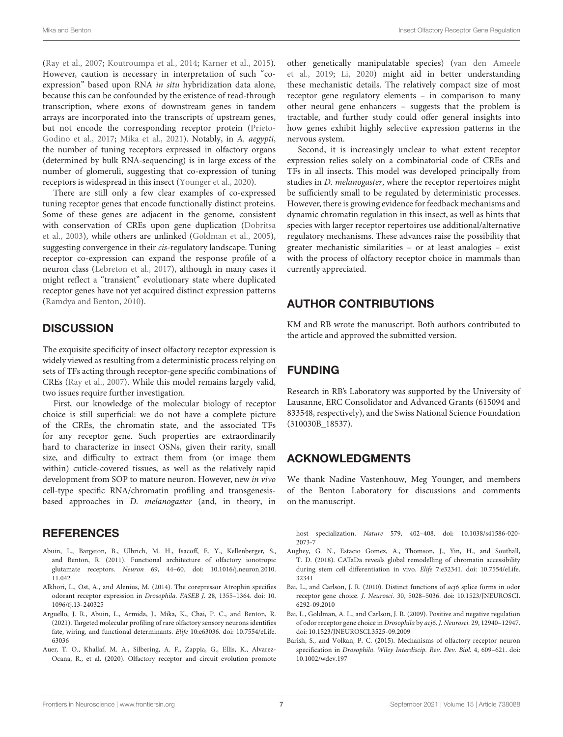[\(Ray et al.,](#page-8-19) [2007;](#page-8-19) [Koutroumpa et al.,](#page-7-36) [2014;](#page-7-36) [Karner et al.,](#page-7-37) [2015\)](#page-7-37). However, caution is necessary in interpretation of such "coexpression" based upon RNA in situ hybridization data alone, because this can be confounded by the existence of read-through transcription, where exons of downstream genes in tandem arrays are incorporated into the transcripts of upstream genes, but not encode the corresponding receptor protein [\(Prieto-](#page-8-23)[Godino et al.,](#page-8-23) [2017;](#page-8-23) [Mika et al.,](#page-8-24) [2021\)](#page-8-24). Notably, in A. aegypti, the number of tuning receptors expressed in olfactory organs (determined by bulk RNA-sequencing) is in large excess of the number of glomeruli, suggesting that co-expression of tuning receptors is widespread in this insect [\(Younger et al.,](#page-9-3) [2020\)](#page-9-3).

There are still only a few clear examples of co-expressed tuning receptor genes that encode functionally distinct proteins. Some of these genes are adjacent in the genome, consistent with conservation of CREs upon gene duplication [\(Dobritsa](#page-7-22) [et al.,](#page-7-22) [2003\)](#page-7-22), while others are unlinked [\(Goldman et al.,](#page-7-38) [2005\)](#page-7-38), suggesting convergence in their cis-regulatory landscape. Tuning receptor co-expression can expand the response profile of a neuron class [\(Lebreton et al.,](#page-7-35) [2017\)](#page-7-35), although in many cases it might reflect a "transient" evolutionary state where duplicated receptor genes have not yet acquired distinct expression patterns [\(Ramdya and Benton,](#page-8-32) [2010\)](#page-8-32).

## **DISCUSSION**

The exquisite specificity of insect olfactory receptor expression is widely viewed as resulting from a deterministic process relying on sets of TFs acting through receptor-gene specific combinations of CREs [\(Ray et al.,](#page-8-19) [2007\)](#page-8-19). While this model remains largely valid, two issues require further investigation.

First, our knowledge of the molecular biology of receptor choice is still superficial: we do not have a complete picture of the CREs, the chromatin state, and the associated TFs for any receptor gene. Such properties are extraordinarily hard to characterize in insect OSNs, given their rarity, small size, and difficulty to extract them from (or image them within) cuticle-covered tissues, as well as the relatively rapid development from SOP to mature neuron. However, new in vivo cell-type specific RNA/chromatin profiling and transgenesisbased approaches in D. melanogaster (and, in theory, in

### **REFERENCES**

- <span id="page-6-1"></span>Abuin, L., Bargeton, B., Ulbrich, M. H., Isacoff, E. Y., Kellenberger, S., and Benton, R. (2011). Functional architecture of olfactory ionotropic glutamate receptors. Neuron 69, 44–60. [doi: 10.1016/j.neuron.2010.](https://doi.org/10.1016/j.neuron.2010.11.042) [11.042](https://doi.org/10.1016/j.neuron.2010.11.042)
- <span id="page-6-6"></span>Alkhori, L., Ost, A., and Alenius, M. (2014). The corepressor Atrophin specifies odorant receptor expression in Drosophila. FASEB J. 28, 1355–1364. [doi: 10.](https://doi.org/10.1096/fj.13-240325) [1096/fj.13-240325](https://doi.org/10.1096/fj.13-240325)
- <span id="page-6-4"></span>Arguello, J. R., Abuin, L., Armida, J., Mika, K., Chai, P. C., and Benton, R. (2021). Targeted molecular profiling of rare olfactory sensory neurons identifies fate, wiring, and functional determinants. Elife 10:e63036. [doi: 10.7554/eLife.](https://doi.org/10.7554/eLife.63036) [63036](https://doi.org/10.7554/eLife.63036)
- <span id="page-6-2"></span>Auer, T. O., Khallaf, M. A., Silbering, A. F., Zappia, G., Ellis, K., Alvarez-Ocana, R., et al. (2020). Olfactory receptor and circuit evolution promote

other genetically manipulatable species) [\(van den Ameele](#page-8-39) [et al.,](#page-8-39) [2019;](#page-8-39) [Li,](#page-8-40) [2020\)](#page-8-40) might aid in better understanding these mechanistic details. The relatively compact size of most receptor gene regulatory elements – in comparison to many other neural gene enhancers – suggests that the problem is tractable, and further study could offer general insights into how genes exhibit highly selective expression patterns in the nervous system.

Second, it is increasingly unclear to what extent receptor expression relies solely on a combinatorial code of CREs and TFs in all insects. This model was developed principally from studies in D. melanogaster, where the receptor repertoires might be sufficiently small to be regulated by deterministic processes. However, there is growing evidence for feedback mechanisms and dynamic chromatin regulation in this insect, as well as hints that species with larger receptor repertoires use additional/alternative regulatory mechanisms. These advances raise the possibility that greater mechanistic similarities – or at least analogies – exist with the process of olfactory receptor choice in mammals than currently appreciated.

## AUTHOR CONTRIBUTIONS

KM and RB wrote the manuscript. Both authors contributed to the article and approved the submitted version.

## FUNDING

Research in RB's Laboratory was supported by the University of Lausanne, ERC Consolidator and Advanced Grants (615094 and 833548, respectively), and the Swiss National Science Foundation (310030B\_18537).

## ACKNOWLEDGMENTS

We thank Nadine Vastenhouw, Meg Younger, and members of the Benton Laboratory for discussions and comments on the manuscript.

host specialization. Nature 579, 402–408. [doi: 10.1038/s41586-020-](https://doi.org/10.1038/s41586-020-2073-7) [2073-7](https://doi.org/10.1038/s41586-020-2073-7)

- <span id="page-6-7"></span>Aughey, G. N., Estacio Gomez, A., Thomson, J., Yin, H., and Southall, T. D. (2018). CATaDa reveals global remodelling of chromatin accessibility during stem cell differentiation in vivo. Elife 7:e32341. [doi: 10.7554/eLife.](https://doi.org/10.7554/eLife.32341) [32341](https://doi.org/10.7554/eLife.32341)
- <span id="page-6-5"></span>Bai, L., and Carlson, J. R. (2010). Distinct functions of acj6 splice forms in odor receptor gene choice. J. Neurosci. 30, 5028–5036. [doi: 10.1523/JNEUROSCI.](https://doi.org/10.1523/JNEUROSCI.6292-09.2010) [6292-09.2010](https://doi.org/10.1523/JNEUROSCI.6292-09.2010)
- <span id="page-6-3"></span>Bai, L., Goldman, A. L., and Carlson, J. R. (2009). Positive and negative regulation of odor receptor gene choice in Drosophila by acj6. J. Neurosci. 29, 12940–12947. [doi: 10.1523/JNEUROSCI.3525-09.2009](https://doi.org/10.1523/JNEUROSCI.3525-09.2009)
- <span id="page-6-0"></span>Barish, S., and Volkan, P. C. (2015). Mechanisms of olfactory receptor neuron specification in Drosophila. Wiley Interdiscip. Rev. Dev. Biol. 4, 609–621. [doi:](https://doi.org/10.1002/wdev.197) [10.1002/wdev.197](https://doi.org/10.1002/wdev.197)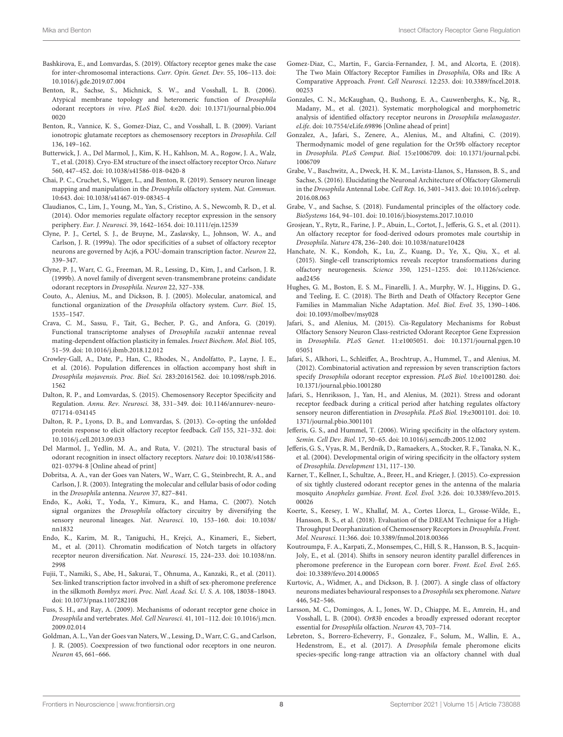- <span id="page-7-29"></span>Bashkirova, E., and Lomvardas, S. (2019). Olfactory receptor genes make the case for inter-chromosomal interactions. Curr. Opin. Genet. Dev. 55, 106–113. [doi:](https://doi.org/10.1016/j.gde.2019.07.004) [10.1016/j.gde.2019.07.004](https://doi.org/10.1016/j.gde.2019.07.004)
- <span id="page-7-5"></span>Benton, R., Sachse, S., Michnick, S. W., and Vosshall, L. B. (2006). Atypical membrane topology and heteromeric function of Drosophila odorant receptors in vivo. PLoS Biol. 4:e20. [doi: 10.1371/journal.pbio.004](https://doi.org/10.1371/journal.pbio.0040020) [0020](https://doi.org/10.1371/journal.pbio.0040020)
- <span id="page-7-6"></span>Benton, R., Vannice, K. S., Gomez-Diaz, C., and Vosshall, L. B. (2009). Variant ionotropic glutamate receptors as chemosensory receptors in Drosophila. Cell 136, 149–162.
- <span id="page-7-7"></span>Butterwick, J. A., Del Marmol, J., Kim, K. H., Kahlson, M. A., Rogow, J. A., Walz, T., et al. (2018). Cryo-EM structure of the insect olfactory receptor Orco. Nature 560, 447–452. [doi: 10.1038/s41586-018-0420-8](https://doi.org/10.1038/s41586-018-0420-8)
- <span id="page-7-16"></span>Chai, P. C., Cruchet, S., Wigger, L., and Benton, R. (2019). Sensory neuron lineage mapping and manipulation in the Drosophila olfactory system. Nat. Commun. 10:643. [doi: 10.1038/s41467-019-08345-4](https://doi.org/10.1038/s41467-019-08345-4)
- <span id="page-7-33"></span>Claudianos, C., Lim, J., Young, M., Yan, S., Cristino, A. S., Newcomb, R. D., et al. (2014). Odor memories regulate olfactory receptor expression in the sensory periphery. Eur. J. Neurosci. 39, 1642–1654. [doi: 10.1111/ejn.12539](https://doi.org/10.1111/ejn.12539)
- <span id="page-7-27"></span>Clyne, P. J., Certel, S. J., de Bruyne, M., Zaslavsky, L., Johnson, W. A., and Carlson, J. R. (1999a). The odor specificities of a subset of olfactory receptor neurons are governed by Acj6, a POU-domain transcription factor. Neuron 22, 339–347.
- <span id="page-7-2"></span>Clyne, P. J., Warr, C. G., Freeman, M. R., Lessing, D., Kim, J., and Carlson, J. R. (1999b). A novel family of divergent seven-transmembrane proteins: candidate odorant receptors in Drosophila. Neuron 22, 327–338.
- <span id="page-7-4"></span>Couto, A., Alenius, M., and Dickson, B. J. (2005). Molecular, anatomical, and functional organization of the Drosophila olfactory system. Curr. Biol. 15, 1535–1547.
- <span id="page-7-31"></span>Crava, C. M., Sassu, F., Tait, G., Becher, P. G., and Anfora, G. (2019). Functional transcriptome analyses of Drosophila suzukii antennae reveal mating-dependent olfaction plasticity in females. Insect Biochem. Mol. Biol. 105, 51–59. [doi: 10.1016/j.ibmb.2018.12.012](https://doi.org/10.1016/j.ibmb.2018.12.012)
- <span id="page-7-34"></span>Crowley-Gall, A., Date, P., Han, C., Rhodes, N., Andolfatto, P., Layne, J. E., et al. (2016). Population differences in olfaction accompany host shift in Drosophila mojavensis. Proc. Biol. Sci. 283:20161562. [doi: 10.1098/rspb.2016.](https://doi.org/10.1098/rspb.2016.1562) [1562](https://doi.org/10.1098/rspb.2016.1562)
- <span id="page-7-1"></span>Dalton, R. P., and Lomvardas, S. (2015). Chemosensory Receptor Specificity and Regulation. Annu. Rev. Neurosci. 38, 331–349. [doi: 10.1146/annurev-neuro-](https://doi.org/10.1146/annurev-neuro-071714-034145)[071714-034145](https://doi.org/10.1146/annurev-neuro-071714-034145)
- <span id="page-7-30"></span>Dalton, R. P., Lyons, D. B., and Lomvardas, S. (2013). Co-opting the unfolded protein response to elicit olfactory receptor feedback. Cell 155, 321–332. [doi:](https://doi.org/10.1016/j.cell.2013.09.033) [10.1016/j.cell.2013.09.033](https://doi.org/10.1016/j.cell.2013.09.033)
- <span id="page-7-8"></span>Del Marmol, J., Yedlin, M. A., and Ruta, V. (2021). The structural basis of odorant recognition in insect olfactory receptors. Nature [doi: 10.1038/s41586-](https://doi.org/10.1038/s41586-021-03794-8) [021-03794-8](https://doi.org/10.1038/s41586-021-03794-8) [Online ahead of print]
- <span id="page-7-22"></span>Dobritsa, A. A., van der Goes van Naters, W., Warr, C. G., Steinbrecht, R. A., and Carlson, J. R. (2003). Integrating the molecular and cellular basis of odor coding in the Drosophila antenna. Neuron 37, 827–841.
- <span id="page-7-14"></span>Endo, K., Aoki, T., Yoda, Y., Kimura, K., and Hama, C. (2007). Notch signal organizes the Drosophila olfactory circuitry by diversifying the sensory neuronal lineages. Nat. Neurosci. 10, 153–160. [doi: 10.1038/](https://doi.org/10.1038/nn1832) [nn1832](https://doi.org/10.1038/nn1832)
- <span id="page-7-15"></span>Endo, K., Karim, M. R., Taniguchi, H., Krejci, A., Kinameri, E., Siebert, M., et al. (2011). Chromatin modification of Notch targets in olfactory receptor neuron diversification. Nat. Neurosci. 15, 224–233. [doi: 10.1038/nn.](https://doi.org/10.1038/nn.2998) [2998](https://doi.org/10.1038/nn.2998)
- <span id="page-7-28"></span>Fujii, T., Namiki, S., Abe, H., Sakurai, T., Ohnuma, A., Kanzaki, R., et al. (2011). Sex-linked transcription factor involved in a shift of sex-pheromone preference in the silkmoth Bombyx mori. Proc. Natl. Acad. Sci. U. S. A. 108, 18038–18043. [doi: 10.1073/pnas.1107282108](https://doi.org/10.1073/pnas.1107282108)
- <span id="page-7-0"></span>Fuss, S. H., and Ray, A. (2009). Mechanisms of odorant receptor gene choice in Drosophila and vertebrates. Mol. Cell Neurosci. 41, 101–112. [doi: 10.1016/j.mcn.](https://doi.org/10.1016/j.mcn.2009.02.014) [2009.02.014](https://doi.org/10.1016/j.mcn.2009.02.014)
- <span id="page-7-38"></span>Goldman, A. L., Van der Goes van Naters, W., Lessing, D., Warr, C. G., and Carlson, J. R. (2005). Coexpression of two functional odor receptors in one neuron. Neuron 45, 661–666.
- <span id="page-7-9"></span>Gomez-Diaz, C., Martin, F., Garcia-Fernandez, J. M., and Alcorta, E. (2018). The Two Main Olfactory Receptor Families in Drosophila, ORs and IRs: A Comparative Approach. Front. Cell Neurosci. 12:253. [doi: 10.3389/fncel.2018.](https://doi.org/10.3389/fncel.2018.00253) [00253](https://doi.org/10.3389/fncel.2018.00253)
- <span id="page-7-10"></span>Gonzales, C. N., McKaughan, Q., Bushong, E. A., Cauwenberghs, K., Ng, R., Madany, M., et al. (2021). Systematic morphological and morphometric analysis of identified olfactory receptor neurons in Drosophila melanogaster. eLife. [doi: 10.7554/eLife.69896](https://doi.org/10.7554/eLife.69896) [Online ahead of print]
- <span id="page-7-25"></span>Gonzalez, A., Jafari, S., Zenere, A., Alenius, M., and Altafini, C. (2019). Thermodynamic model of gene regulation for the Or59b olfactory receptor in Drosophila. PLoS Comput. Biol. 15:e1006709. [doi: 10.1371/journal.pcbi.](https://doi.org/10.1371/journal.pcbi.1006709) [1006709](https://doi.org/10.1371/journal.pcbi.1006709)
- <span id="page-7-12"></span>Grabe, V., Baschwitz, A., Dweck, H. K. M., Lavista-Llanos, S., Hansson, B. S., and Sachse, S. (2016). Elucidating the Neuronal Architecture of Olfactory Glomeruli in the Drosophila Antennal Lobe. Cell Rep. 16, 3401–3413. [doi: 10.1016/j.celrep.](https://doi.org/10.1016/j.celrep.2016.08.063) [2016.08.063](https://doi.org/10.1016/j.celrep.2016.08.063)
- <span id="page-7-11"></span>Grabe, V., and Sachse, S. (2018). Fundamental principles of the olfactory code. BioSystems 164, 94–101. [doi: 10.1016/j.biosystems.2017.10.010](https://doi.org/10.1016/j.biosystems.2017.10.010)
- <span id="page-7-19"></span>Grosjean, Y., Rytz, R., Farine, J. P., Abuin, L., Cortot, J., Jefferis, G. S., et al. (2011). An olfactory receptor for food-derived odours promotes male courtship in Drosophila. Nature 478, 236–240. [doi: 10.1038/nature10428](https://doi.org/10.1038/nature10428)
- <span id="page-7-17"></span>Hanchate, N. K., Kondoh, K., Lu, Z., Kuang, D., Ye, X., Qiu, X., et al. (2015). Single-cell transcriptomics reveals receptor transformations during olfactory neurogenesis. Science 350, 1251–1255. [doi: 10.1126/science.](https://doi.org/10.1126/science.aad2456) [aad2456](https://doi.org/10.1126/science.aad2456)
- <span id="page-7-13"></span>Hughes, G. M., Boston, E. S. M., Finarelli, J. A., Murphy, W. J., Higgins, D. G., and Teeling, E. C. (2018). The Birth and Death of Olfactory Receptor Gene Families in Mammalian Niche Adaptation. Mol. Biol. Evol. 35, 1390–1406. [doi: 10.1093/molbev/msy028](https://doi.org/10.1093/molbev/msy028)
- <span id="page-7-24"></span>Jafari, S., and Alenius, M. (2015). Cis-Regulatory Mechanisms for Robust Olfactory Sensory Neuron Class-restricted Odorant Receptor Gene Expression in Drosophila. PLoS Genet. 11:e1005051. [doi: 10.1371/journal.pgen.10](https://doi.org/10.1371/journal.pgen.1005051) [05051](https://doi.org/10.1371/journal.pgen.1005051)
- <span id="page-7-26"></span>Jafari, S., Alkhori, L., Schleiffer, A., Brochtrup, A., Hummel, T., and Alenius, M. (2012). Combinatorial activation and repression by seven transcription factors specify Drosophila odorant receptor expression. PLoS Biol. 10:e1001280. [doi:](https://doi.org/10.1371/journal.pbio.1001280) [10.1371/journal.pbio.1001280](https://doi.org/10.1371/journal.pbio.1001280)
- <span id="page-7-23"></span>Jafari, S., Henriksson, J., Yan, H., and Alenius, M. (2021). Stress and odorant receptor feedback during a critical period after hatching regulates olfactory sensory neuron differentiation in Drosophila. PLoS Biol. 19:e3001101. [doi: 10.](https://doi.org/10.1371/journal.pbio.3001101) [1371/journal.pbio.3001101](https://doi.org/10.1371/journal.pbio.3001101)
- <span id="page-7-21"></span>Jefferis, G. S., and Hummel, T. (2006). Wiring specificity in the olfactory system. Semin. Cell Dev. Biol. 17, 50–65. [doi: 10.1016/j.semcdb.2005.12.002](https://doi.org/10.1016/j.semcdb.2005.12.002)
- <span id="page-7-20"></span>Jefferis, G. S., Vyas, R. M., Berdnik, D., Ramaekers, A., Stocker, R. F., Tanaka, N. K., et al. (2004). Developmental origin of wiring specificity in the olfactory system of Drosophila. Development 131, 117–130.
- <span id="page-7-37"></span>Karner, T., Kellner, I., Schultze, A., Breer, H., and Krieger, J. (2015). Co-expression of six tightly clustered odorant receptor genes in the antenna of the malaria mosquito Anopheles gambiae. Front. Ecol. Evol. 3:26. [doi: 10.3389/fevo.2015.](https://doi.org/10.3389/fevo.2015.00026) [00026](https://doi.org/10.3389/fevo.2015.00026)
- <span id="page-7-32"></span>Koerte, S., Keesey, I. W., Khallaf, M. A., Cortes Llorca, L., Grosse-Wilde, E., Hansson, B. S., et al. (2018). Evaluation of the DREAM Technique for a High-Throughput Deorphanization of Chemosensory Receptors in Drosophila. Front. Mol. Neurosci. 11:366. [doi: 10.3389/fnmol.2018.00366](https://doi.org/10.3389/fnmol.2018.00366)
- <span id="page-7-36"></span>Koutroumpa, F. A., Karpati, Z., Monsempes, C., Hill, S. R., Hansson, B. S., Jacquin-Joly, E., et al. (2014). Shifts in sensory neuron identity parallel differences in pheromone preference in the European corn borer. Front. Ecol. Evol. 2:65. [doi: 10.3389/fevo.2014.00065](https://doi.org/10.3389/fevo.2014.00065)
- <span id="page-7-18"></span>Kurtovic, A., Widmer, A., and Dickson, B. J. (2007). A single class of olfactory neurons mediates behavioural responses to a Drosophila sex pheromone. Nature 446, 542–546.
- <span id="page-7-3"></span>Larsson, M. C., Domingos, A. I., Jones, W. D., Chiappe, M. E., Amrein, H., and Vosshall, L. B. (2004). Or83b encodes a broadly expressed odorant receptor essential for Drosophila olfaction. Neuron 43, 703–714.
- <span id="page-7-35"></span>Lebreton, S., Borrero-Echeverry, F., Gonzalez, F., Solum, M., Wallin, E. A., Hedenstrom, E., et al. (2017). A Drosophila female pheromone elicits species-specific long-range attraction via an olfactory channel with dual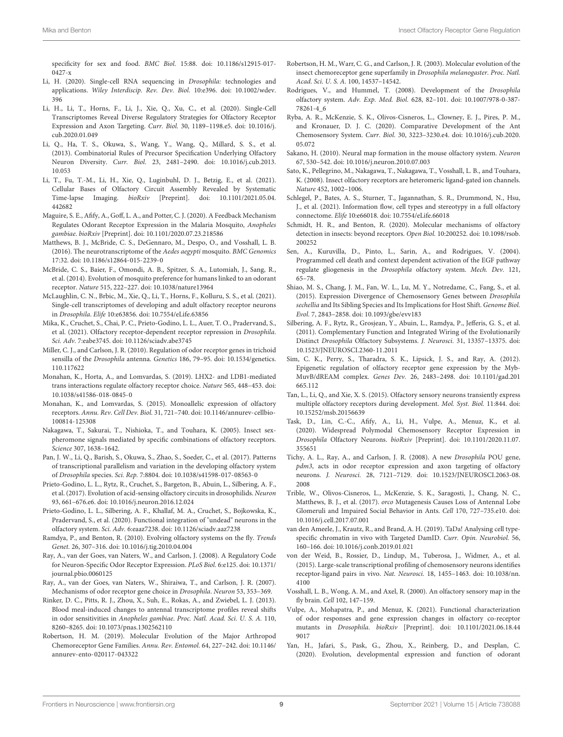specificity for sex and food. BMC Biol. 15:88. [doi: 10.1186/s12915-017-](https://doi.org/10.1186/s12915-017-0427-x) [0427-x](https://doi.org/10.1186/s12915-017-0427-x)

- <span id="page-8-40"></span>Li, H. (2020). Single-cell RNA sequencing in Drosophila: technologies and applications. Wiley Interdiscip. Rev. Dev. Biol. 10:e396. [doi: 10.1002/wdev.](https://doi.org/10.1002/wdev.396) [396](https://doi.org/10.1002/wdev.396)
- <span id="page-8-12"></span>Li, H., Li, T., Horns, F., Li, J., Xie, Q., Xu, C., et al. (2020). Single-Cell Transcriptomes Reveal Diverse Regulatory Strategies for Olfactory Receptor Expression and Axon Targeting. Curr. Biol. 30, 1189–1198.e5. [doi: 10.1016/j.](https://doi.org/10.1016/j.cub.2020.01.049) [cub.2020.01.049](https://doi.org/10.1016/j.cub.2020.01.049)
- <span id="page-8-10"></span>Li, Q., Ha, T. S., Okuwa, S., Wang, Y., Wang, Q., Millard, S. S., et al. (2013). Combinatorial Rules of Precursor Specification Underlying Olfactory Neuron Diversity. Curr. Biol. 23, 2481–2490. [doi: 10.1016/j.cub.2013.](https://doi.org/10.1016/j.cub.2013.10.053) [10.053](https://doi.org/10.1016/j.cub.2013.10.053)
- <span id="page-8-15"></span>Li, T., Fu, T.-M., Li, H., Xie, Q., Luginbuhl, D. J., Betzig, E., et al. (2021). Cellular Bases of Olfactory Circuit Assembly Revealed by Systematic Time-lapse Imaging. bioRxiv [Preprint]. [doi: 10.1101/2021.05.04.](https://doi.org/10.1101/2021.05.04.442682) [442682](https://doi.org/10.1101/2021.05.04.442682)
- <span id="page-8-26"></span>Maguire, S. E., Afify, A., Goff, L. A., and Potter, C. J. (2020). A Feedback Mechanism Regulates Odorant Receptor Expression in the Malaria Mosquito, Anopheles gambiae. bioRxiv [Preprint]. [doi: 10.1101/2020.07.23.218586](https://doi.org/10.1101/2020.07.23.218586)
- <span id="page-8-30"></span>Matthews, B. J., McBride, C. S., DeGennaro, M., Despo, O., and Vosshall, L. B. (2016). The neurotranscriptome of the Aedes aegypti mosquito. BMC Genomics 17:32. [doi: 10.1186/s12864-015-2239-0](https://doi.org/10.1186/s12864-015-2239-0)
- <span id="page-8-33"></span>McBride, C. S., Baier, F., Omondi, A. B., Spitzer, S. A., Lutomiah, J., Sang, R., et al. (2014). Evolution of mosquito preference for humans linked to an odorant receptor. Nature 515, 222–227. [doi: 10.1038/nature13964](https://doi.org/10.1038/nature13964)
- <span id="page-8-13"></span>McLaughlin, C. N., Brbic, M., Xie, Q., Li, T., Horns, F., Kolluru, S. S., et al. (2021). Single-cell transcriptomes of developing and adult olfactory receptor neurons in Drosophila. Elife 10:e63856. [doi: 10.7554/eLife.63856](https://doi.org/10.7554/eLife.63856)
- <span id="page-8-24"></span>Mika, K., Cruchet, S., Chai, P. C., Prieto-Godino, L. L., Auer, T. O., Pradervand, S., et al. (2021). Olfactory receptor-dependent receptor repression in Drosophila. Sci. Adv. 7:eabe3745. [doi: 10.1126/sciadv.abe3745](https://doi.org/10.1126/sciadv.abe3745)
- <span id="page-8-21"></span>Miller, C. J., and Carlson, J. R. (2010). Regulation of odor receptor genes in trichoid sensilla of the Drosophila antenna. Genetics 186, 79–95. [doi: 10.1534/genetics.](https://doi.org/10.1534/genetics.110.117622) [110.117622](https://doi.org/10.1534/genetics.110.117622)
- <span id="page-8-28"></span>Monahan, K., Horta, A., and Lomvardas, S. (2019). LHX2- and LDB1-mediated trans interactions regulate olfactory receptor choice. Nature 565, 448–453. [doi:](https://doi.org/10.1038/s41586-018-0845-0) [10.1038/s41586-018-0845-0](https://doi.org/10.1038/s41586-018-0845-0)
- <span id="page-8-0"></span>Monahan, K., and Lomvardas, S. (2015). Monoallelic expression of olfactory receptors. Annu. Rev. Cell Dev. Biol. 31, 721–740. [doi: 10.1146/annurev-cellbio-](https://doi.org/10.1146/annurev-cellbio-100814-125308)[100814-125308](https://doi.org/10.1146/annurev-cellbio-100814-125308)
- <span id="page-8-2"></span>Nakagawa, T., Sakurai, T., Nishioka, T., and Touhara, K. (2005). Insect sexpheromone signals mediated by specific combinations of olfactory receptors. Science 307, 1638–1642.
- <span id="page-8-11"></span>Pan, J. W., Li, Q., Barish, S., Okuwa, S., Zhao, S., Soeder, C., et al. (2017). Patterns of transcriptional parallelism and variation in the developing olfactory system of Drosophila species. Sci. Rep. 7:8804. [doi: 10.1038/s41598-017-08563-0](https://doi.org/10.1038/s41598-017-08563-0)
- <span id="page-8-23"></span>Prieto-Godino, L. L., Rytz, R., Cruchet, S., Bargeton, B., Abuin, L., Silbering, A. F., et al. (2017). Evolution of acid-sensing olfactory circuits in drosophilids. Neuron 93, 661–676.e6. [doi: 10.1016/j.neuron.2016.12.024](https://doi.org/10.1016/j.neuron.2016.12.024)
- <span id="page-8-9"></span>Prieto-Godino, L. L., Silbering, A. F., Khallaf, M. A., Cruchet, S., Bojkowska, K., Pradervand, S., et al. (2020). Functional integration of "undead" neurons in the olfactory system. Sci. Adv. 6:eaaz7238. [doi: 10.1126/sciadv.aaz7238](https://doi.org/10.1126/sciadv.aaz7238)
- <span id="page-8-32"></span>Ramdya, P., and Benton, R. (2010). Evolving olfactory systems on the fly. Trends Genet. 26, 307–316. [doi: 10.1016/j.tig.2010.04.004](https://doi.org/10.1016/j.tig.2010.04.004)
- <span id="page-8-20"></span>Ray, A., van der Goes, van Naters, W., and Carlson, J. (2008). A Regulatory Code for Neuron-Specific Odor Receptor Expression. PLoS Biol. 6:e125. [doi: 10.1371/](https://doi.org/10.1371/journal.pbio.0060125) [journal.pbio.0060125](https://doi.org/10.1371/journal.pbio.0060125)
- <span id="page-8-19"></span>Ray, A., van der Goes, van Naters, W., Shiraiwa, T., and Carlson, J. R. (2007). Mechanisms of odor receptor gene choice in Drosophila. Neuron 53, 353–369.
- <span id="page-8-29"></span>Rinker, D. C., Pitts, R. J., Zhou, X., Suh, E., Rokas, A., and Zwiebel, L. J. (2013). Blood meal-induced changes to antennal transcriptome profiles reveal shifts in odor sensitivities in Anopheles gambiae. Proc. Natl. Acad. Sci. U. S. A. 110, 8260–8265. [doi: 10.1073/pnas.1302562110](https://doi.org/10.1073/pnas.1302562110)
- <span id="page-8-35"></span>Robertson, H. M. (2019). Molecular Evolution of the Major Arthropod Chemoreceptor Gene Families. Annu. Rev. Entomol. 64, 227–242. [doi: 10.1146/](https://doi.org/10.1146/annurev-ento-020117-043322) [annurev-ento-020117-043322](https://doi.org/10.1146/annurev-ento-020117-043322)
- <span id="page-8-4"></span>Robertson, H. M., Warr, C. G., and Carlson, J. R. (2003). Molecular evolution of the insect chemoreceptor gene superfamily in Drosophila melanogaster. Proc. Natl. Acad. Sci. U. S. A. 100, 14537–14542.
- <span id="page-8-8"></span>Rodrigues, V., and Hummel, T. (2008). Development of the Drosophila olfactory system. Adv. Exp. Med. Biol. 628, 82–101. [doi: 10.1007/978-0-387-](https://doi.org/10.1007/978-0-387-78261-4_6) [78261-4\\_6](https://doi.org/10.1007/978-0-387-78261-4_6)
- <span id="page-8-17"></span>Ryba, A. R., McKenzie, S. K., Olivos-Cisneros, L., Clowney, E. J., Pires, P. M., and Kronauer, D. J. C. (2020). Comparative Development of the Ant Chemosensory System. Curr. Biol. 30, 3223–3230.e4. [doi: 10.1016/j.cub.2020.](https://doi.org/10.1016/j.cub.2020.05.072) [05.072](https://doi.org/10.1016/j.cub.2020.05.072)
- <span id="page-8-16"></span>Sakano, H. (2010). Neural map formation in the mouse olfactory system. Neuron 67, 530–542. [doi: 10.1016/j.neuron.2010.07.003](https://doi.org/10.1016/j.neuron.2010.07.003)
- <span id="page-8-3"></span>Sato, K., Pellegrino, M., Nakagawa, T., Nakagawa, T., Vosshall, L. B., and Touhara, K. (2008). Insect olfactory receptors are heteromeric ligand-gated ion channels. Nature 452, 1002–1006.
- <span id="page-8-6"></span>Schlegel, P., Bates, A. S., Sturner, T., Jagannathan, S. R., Drummond, N., Hsu, J., et al. (2021). Information flow, cell types and stereotypy in a full olfactory connectome. Elife 10:e66018. [doi: 10.7554/eLife.66018](https://doi.org/10.7554/eLife.66018)
- <span id="page-8-5"></span>Schmidt, H. R., and Benton, R. (2020). Molecular mechanisms of olfactory detection in insects: beyond receptors. Open Biol. 10:200252. [doi: 10.1098/rsob.](https://doi.org/10.1098/rsob.200252) [200252](https://doi.org/10.1098/rsob.200252)
- <span id="page-8-36"></span>Sen, A., Kuruvilla, D., Pinto, L., Sarin, A., and Rodrigues, V. (2004). Programmed cell death and context dependent activation of the EGF pathway regulate gliogenesis in the Drosophila olfactory system. Mech. Dev. 121, 65–78.
- <span id="page-8-34"></span>Shiao, M. S., Chang, J. M., Fan, W. L., Lu, M. Y., Notredame, C., Fang, S., et al. (2015). Expression Divergence of Chemosensory Genes between Drosophila sechellia and Its Sibling Species and Its Implications for Host Shift. Genome Biol. Evol. 7, 2843–2858. [doi: 10.1093/gbe/evv183](https://doi.org/10.1093/gbe/evv183)
- <span id="page-8-22"></span>Silbering, A. F., Rytz, R., Grosjean, Y., Abuin, L., Ramdya, P., Jefferis, G. S., et al. (2011). Complementary Function and Integrated Wiring of the Evolutionarily Distinct Drosophila Olfactory Subsystems. J. Neurosci. 31, 13357–13375. [doi:](https://doi.org/10.1523/JNEUROSCI.2360-11.2011) [10.1523/JNEUROSCI.2360-11.2011](https://doi.org/10.1523/JNEUROSCI.2360-11.2011)
- <span id="page-8-27"></span>Sim, C. K., Perry, S., Tharadra, S. K., Lipsick, J. S., and Ray, A. (2012). Epigenetic regulation of olfactory receptor gene expression by the Myb-MuvB/dREAM complex. Genes Dev. 26, 2483–2498. [doi: 10.1101/gad.201](https://doi.org/10.1101/gad.201665.112) [665.112](https://doi.org/10.1101/gad.201665.112)
- <span id="page-8-14"></span>Tan, L., Li, Q., and Xie, X. S. (2015). Olfactory sensory neurons transiently express multiple olfactory receptors during development. Mol. Syst. Biol. 11:844. [doi:](https://doi.org/10.15252/msb.20156639) [10.15252/msb.20156639](https://doi.org/10.15252/msb.20156639)
- <span id="page-8-37"></span>Task, D., Lin, C.-C., Afify, A., Li, H., Vulpe, A., Menuz, K., et al. (2020). Widespread Polymodal Chemosensory Receptor Expression in Drosophila Olfactory Neurons. bioRxiv [Preprint]. [doi: 10.1101/2020.11.07.](https://doi.org/10.1101/2020.11.07.355651) [355651](https://doi.org/10.1101/2020.11.07.355651)
- <span id="page-8-25"></span>Tichy, A. L., Ray, A., and Carlson, J. R. (2008). A new Drosophila POU gene, pdm3, acts in odor receptor expression and axon targeting of olfactory neurons. J. Neurosci. 28, 7121–7129. [doi: 10.1523/JNEUROSCI.2063-08.](https://doi.org/10.1523/JNEUROSCI.2063-08.2008) [2008](https://doi.org/10.1523/JNEUROSCI.2063-08.2008)
- <span id="page-8-18"></span>Trible, W., Olivos-Cisneros, L., McKenzie, S. K., Saragosti, J., Chang, N. C., Matthews, B. J., et al. (2017). orco Mutagenesis Causes Loss of Antennal Lobe Glomeruli and Impaired Social Behavior in Ants. Cell 170, 727–735.e10. [doi:](https://doi.org/10.1016/j.cell.2017.07.001) [10.1016/j.cell.2017.07.001](https://doi.org/10.1016/j.cell.2017.07.001)
- <span id="page-8-39"></span>van den Ameele, J., Krautz, R., and Brand, A. H. (2019). TaDa! Analysing cell typespecific chromatin in vivo with Targeted DamID. Curr. Opin. Neurobiol. 56, 160–166. [doi: 10.1016/j.conb.2019.01.021](https://doi.org/10.1016/j.conb.2019.01.021)
- <span id="page-8-31"></span>von der Weid, B., Rossier, D., Lindup, M., Tuberosa, J., Widmer, A., et al. (2015). Large-scale transcriptional profiling of chemosensory neurons identifies receptor-ligand pairs in vivo. Nat. Neurosci. 18, 1455–1463. [doi: 10.1038/nn.](https://doi.org/10.1038/nn.4100) [4100](https://doi.org/10.1038/nn.4100)
- <span id="page-8-1"></span>Vosshall, L. B., Wong, A. M., and Axel, R. (2000). An olfactory sensory map in the fly brain. Cell 102, 147–159.
- <span id="page-8-38"></span>Vulpe, A., Mohapatra, P., and Menuz, K. (2021). Functional characterization of odor responses and gene expression changes in olfactory co-receptor mutants in Drosophila. bioRxiv [Preprint]. [doi: 10.1101/2021.06.18.44](https://doi.org/10.1101/2021.06.18.449017) [9017](https://doi.org/10.1101/2021.06.18.449017)
- <span id="page-8-7"></span>Yan, H., Jafari, S., Pask, G., Zhou, X., Reinberg, D., and Desplan, C. (2020). Evolution, developmental expression and function of odorant